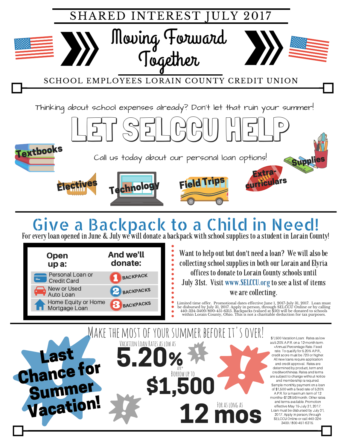

Limited time offer. Promotional dates effective June 1, 2017-July 31, 2017. Loan must<br>be disbursed by July 31, 2017. Apply in person, through SELGCU Online or by calling<br>440-324-3400/800-451-6315. Backpacks (valued at \$5 within Lorain County, Ohio. This is not a charitable deduction for tax purposes.



**BACKPACKS** 

Mortgage Loan